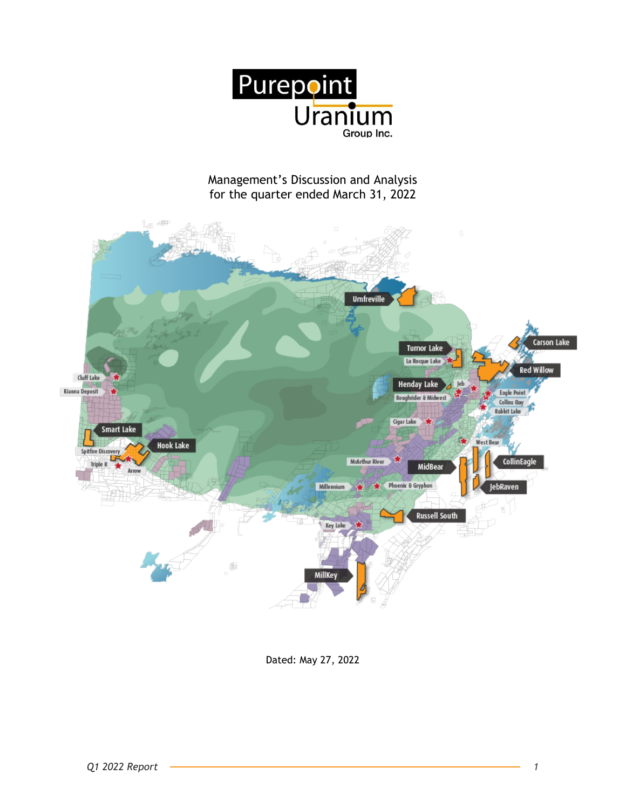

# Management's Discussion and Analysis for the quarter ended March 31, 2022



Dated: May 27, 2022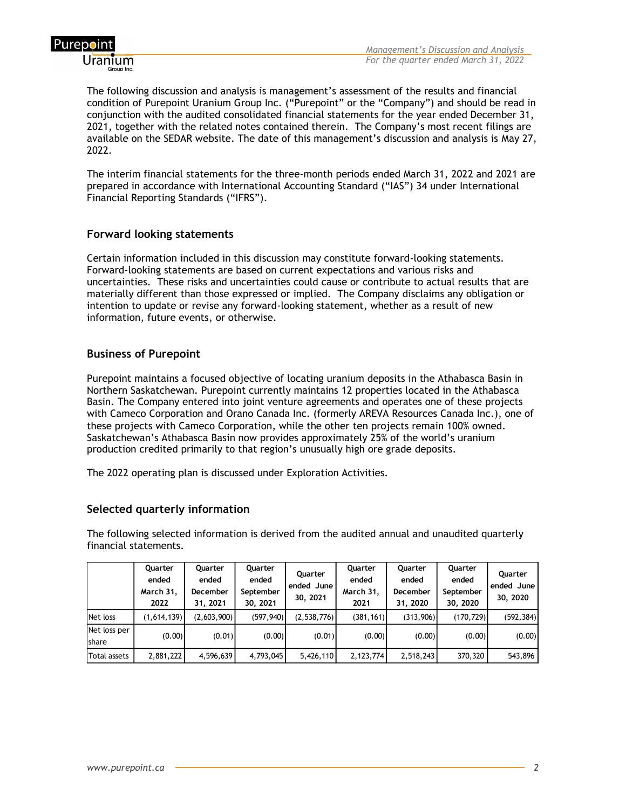

The following discussion and analysis is management's assessment of the results and financial condition of Purepoint Uranium Group Inc. ("Purepoint" or the "Company") and should be read in conjunction with the audited consolidated financial statements for the year ended December 31, 2021, together with the related notes contained therein. The Company's most recent filings are available on the SEDAR website. The date of this management's discussion and analysis is May 27, 2022.

The interim financial statements for the three-month periods ended March 31, 2022 and 2021 are prepared in accordance with International Accounting Standard ("IAS") 34 under International Financial Reporting Standards ("IFRS").

## **Forward looking statements**

Certain information included in this discussion may constitute forward-looking statements. Forward-looking statements are based on current expectations and various risks and uncertainties. These risks and uncertainties could cause or contribute to actual results that are materially different than those expressed or implied. The Company disclaims any obligation or intention to update or revise any forward-looking statement, whether as a result of new information, future events, or otherwise.

# **Business of Purepoint**

Purepoint maintains a focused objective of locating uranium deposits in the Athabasca Basin in Northern Saskatchewan. Purepoint currently maintains 12 properties located in the Athabasca Basin. The Company entered into joint venture agreements and operates one of these projects with Cameco Corporation and Orano Canada Inc. (formerly AREVA Resources Canada Inc.), one of these projects with Cameco Corporation, while the other ten projects remain 100% owned. Saskatchewan's Athabasca Basin now provides approximately 25% of the world's uranium production credited primarily to that region's unusually high ore grade deposits.

The 2022 operating plan is discussed under Exploration Activities.

# **Selected quarterly information**

The following selected information is derived from the audited annual and unaudited quarterly financial statements.

|                               | Quarter<br>ended<br>March 31,<br>2022 | Quarter<br>ended<br><b>December</b><br>31, 2021 | Quarter<br>ended<br>September<br>30, 2021 | Quarter<br>ended June<br>30, 2021 | Quarter<br>ended<br>March 31,<br>2021 | Quarter<br>ended<br>December<br>31, 2020 | Quarter<br>ended<br>September<br>30, 2020 | <b>Ouarter</b><br>ended June<br>30, 2020 |
|-------------------------------|---------------------------------------|-------------------------------------------------|-------------------------------------------|-----------------------------------|---------------------------------------|------------------------------------------|-------------------------------------------|------------------------------------------|
| Net loss                      | (1,614,139)                           | (2,603,900)                                     | (597, 940)                                | (2,538,776)                       | (381, 161)                            | (313,906)                                | (170, 729)                                | (592, 384)                               |
| Net loss per<br><b>Ishare</b> | (0.00)                                | (0.01)                                          | (0.00)                                    | (0.01)                            | (0.00)                                | (0.00)                                   | (0.00)                                    | (0.00)                                   |
| Total assets                  | 2,881,222                             | 4,596,639                                       | 4,793,045                                 | 5,426,110                         | 2,123,774                             | 2,518,243                                | 370,320                                   | 543,896                                  |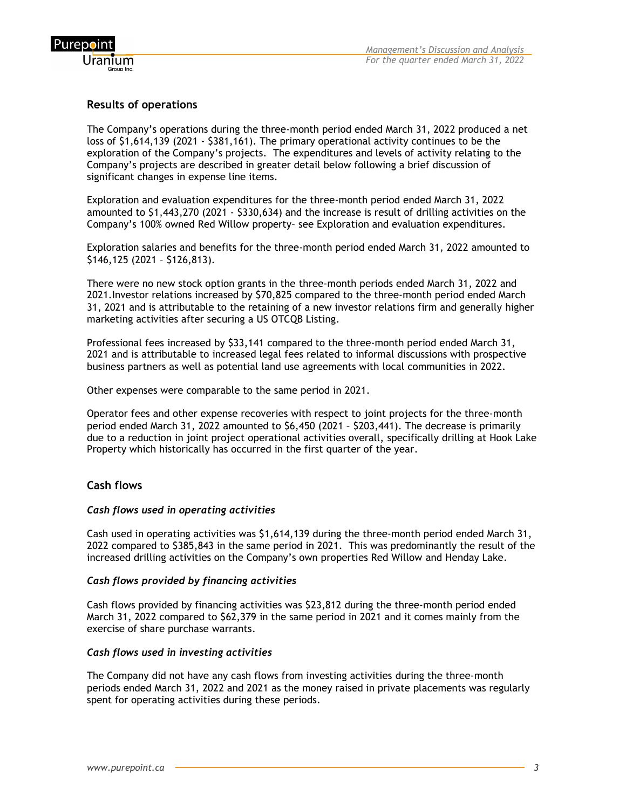

# **Results of operations**

The Company's operations during the three-month period ended March 31, 2022 produced a net loss of \$1,614,139 (2021 - \$381,161). The primary operational activity continues to be the exploration of the Company's projects. The expenditures and levels of activity relating to the Company's projects are described in greater detail below following a brief discussion of significant changes in expense line items.

Exploration and evaluation expenditures for the three-month period ended March 31, 2022 amounted to \$1,443,270 (2021 - \$330,634) and the increase is result of drilling activities on the Company's 100% owned Red Willow property– see Exploration and evaluation expenditures.

Exploration salaries and benefits for the three-month period ended March 31, 2022 amounted to \$146,125 (2021 – \$126,813).

There were no new stock option grants in the three-month periods ended March 31, 2022 and 2021.Investor relations increased by \$70,825 compared to the three-month period ended March 31, 2021 and is attributable to the retaining of a new investor relations firm and generally higher marketing activities after securing a US OTCQB Listing.

Professional fees increased by \$33,141 compared to the three-month period ended March 31, 2021 and is attributable to increased legal fees related to informal discussions with prospective business partners as well as potential land use agreements with local communities in 2022.

Other expenses were comparable to the same period in 2021.

Operator fees and other expense recoveries with respect to joint projects for the three-month period ended March 31, 2022 amounted to \$6,450 (2021 – \$203,441). The decrease is primarily due to a reduction in joint project operational activities overall, specifically drilling at Hook Lake Property which historically has occurred in the first quarter of the year.

## **Cash flows**

#### *Cash flows used in operating activities*

Cash used in operating activities was \$1,614,139 during the three-month period ended March 31, 2022 compared to \$385,843 in the same period in 2021. This was predominantly the result of the increased drilling activities on the Company's own properties Red Willow and Henday Lake.

#### *Cash flows provided by financing activities*

Cash flows provided by financing activities was \$23,812 during the three-month period ended March 31, 2022 compared to \$62,379 in the same period in 2021 and it comes mainly from the exercise of share purchase warrants.

#### *Cash flows used in investing activities*

The Company did not have any cash flows from investing activities during the three-month periods ended March 31, 2022 and 2021 as the money raised in private placements was regularly spent for operating activities during these periods.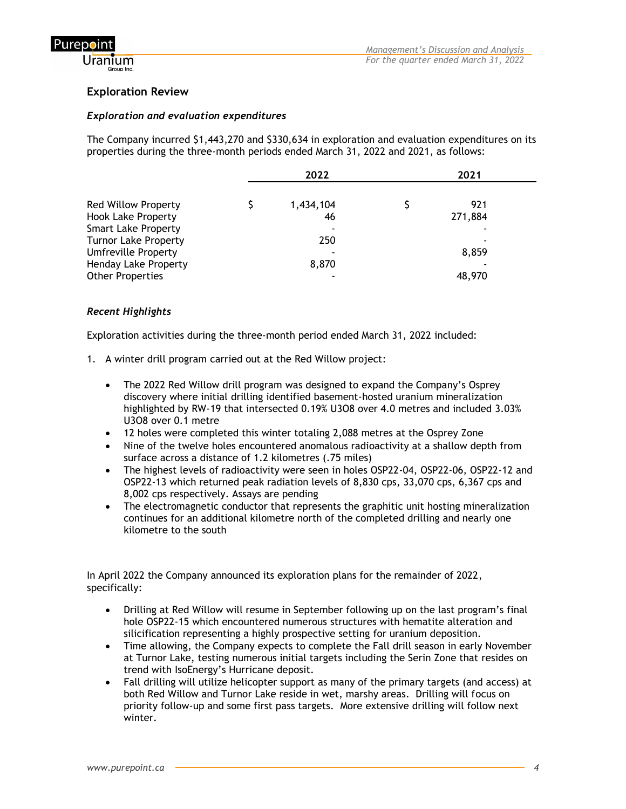

# **Exploration Review**

## *Exploration and evaluation expenditures*

The Company incurred \$1,443,270 and \$330,634 in exploration and evaluation expenditures on its properties during the three-month periods ended March 31, 2022 and 2021, as follows:

|                             | 2022      | 2021    |  |  |
|-----------------------------|-----------|---------|--|--|
| <b>Red Willow Property</b>  | 1,434,104 | 921     |  |  |
| <b>Hook Lake Property</b>   | 46        | 271,884 |  |  |
| <b>Smart Lake Property</b>  |           |         |  |  |
| <b>Turnor Lake Property</b> | 250       |         |  |  |
| <b>Umfreville Property</b>  |           | 8,859   |  |  |
| <b>Henday Lake Property</b> | 8,870     |         |  |  |
| <b>Other Properties</b>     |           | 48,970  |  |  |

## *Recent Highlights*

Exploration activities during the three-month period ended March 31, 2022 included:

- 1. A winter drill program carried out at the Red Willow project:
	- The 2022 Red Willow drill program was designed to expand the Company's Osprey discovery where initial drilling identified basement-hosted uranium mineralization highlighted by RW-19 that intersected 0.19% U3O8 over 4.0 metres and included 3.03% U3O8 over 0.1 metre
	- 12 holes were completed this winter totaling 2,088 metres at the Osprey Zone
	- Nine of the twelve holes encountered anomalous radioactivity at a shallow depth from surface across a distance of 1.2 kilometres (.75 miles)
	- The highest levels of radioactivity were seen in holes OSP22-04, OSP22-06, OSP22-12 and OSP22-13 which returned peak radiation levels of 8,830 cps, 33,070 cps, 6,367 cps and 8,002 cps respectively. Assays are pending
	- The electromagnetic conductor that represents the graphitic unit hosting mineralization continues for an additional kilometre north of the completed drilling and nearly one kilometre to the south

In April 2022 the Company announced its exploration plans for the remainder of 2022, specifically:

- Drilling at Red Willow will resume in September following up on the last program's final hole OSP22-15 which encountered numerous structures with hematite alteration and silicification representing a highly prospective setting for uranium deposition.
- Time allowing, the Company expects to complete the Fall drill season in early November at Turnor Lake, testing numerous initial targets including the Serin Zone that resides on trend with IsoEnergy's Hurricane deposit.
- Fall drilling will utilize helicopter support as many of the primary targets (and access) at both Red Willow and Turnor Lake reside in wet, marshy areas. Drilling will focus on priority follow-up and some first pass targets. More extensive drilling will follow next winter.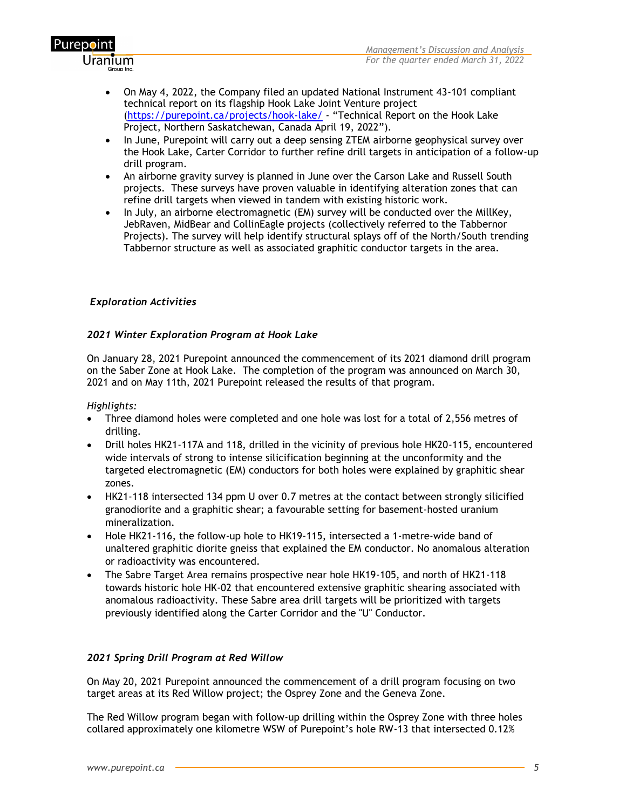

- On May 4, 2022, the Company filed an updated National Instrument 43-101 compliant technical report on its flagship Hook Lake Joint Venture project [\(https://purepoint.ca/projects/hook-lake/](https://purepoint.ca/projects/hook-lake/) - "Technical Report on the Hook Lake Project, Northern Saskatchewan, Canada April 19, 2022").
- In June, Purepoint will carry out a deep sensing ZTEM airborne geophysical survey over the Hook Lake, Carter Corridor to further refine drill targets in anticipation of a follow-up drill program.
- An airborne gravity survey is planned in June over the Carson Lake and Russell South projects. These surveys have proven valuable in identifying alteration zones that can refine drill targets when viewed in tandem with existing historic work.
- In July, an airborne electromagnetic (EM) survey will be conducted over the MillKey, JebRaven, MidBear and CollinEagle projects (collectively referred to the Tabbernor Projects). The survey will help identify structural splays off of the North/South trending Tabbernor structure as well as associated graphitic conductor targets in the area.

#### *Exploration Activities*

## *2021 Winter Exploration Program at Hook Lake*

On January 28, 2021 Purepoint announced the commencement of its 2021 diamond drill program on the Saber Zone at Hook Lake. The completion of the program was announced on March 30, 2021 and on May 11th, 2021 Purepoint released the results of that program.

#### *Highlights:*

Purep**o**int

<u>Uranium</u>

- Three diamond holes were completed and one hole was lost for a total of 2,556 metres of drilling.
- Drill holes HK21-117A and 118, drilled in the vicinity of previous hole HK20-115, encountered wide intervals of strong to intense silicification beginning at the unconformity and the targeted electromagnetic (EM) conductors for both holes were explained by graphitic shear zones.
- HK21-118 intersected 134 ppm U over 0.7 metres at the contact between strongly silicified granodiorite and a graphitic shear; a favourable setting for basement-hosted uranium mineralization.
- Hole HK21-116, the follow-up hole to HK19-115, intersected a 1-metre-wide band of unaltered graphitic diorite gneiss that explained the EM conductor. No anomalous alteration or radioactivity was encountered.
- The Sabre Target Area remains prospective near hole HK19-105, and north of HK21-118 towards historic hole HK-02 that encountered extensive graphitic shearing associated with anomalous radioactivity. These Sabre area drill targets will be prioritized with targets previously identified along the Carter Corridor and the "U" Conductor.

#### *2021 Spring Drill Program at Red Willow*

On May 20, 2021 Purepoint announced the commencement of a drill program focusing on two target areas at its Red Willow project; the Osprey Zone and the Geneva Zone.

The Red Willow program began with follow-up drilling within the Osprey Zone with three holes collared approximately one kilometre WSW of Purepoint's hole RW-13 that intersected 0.12%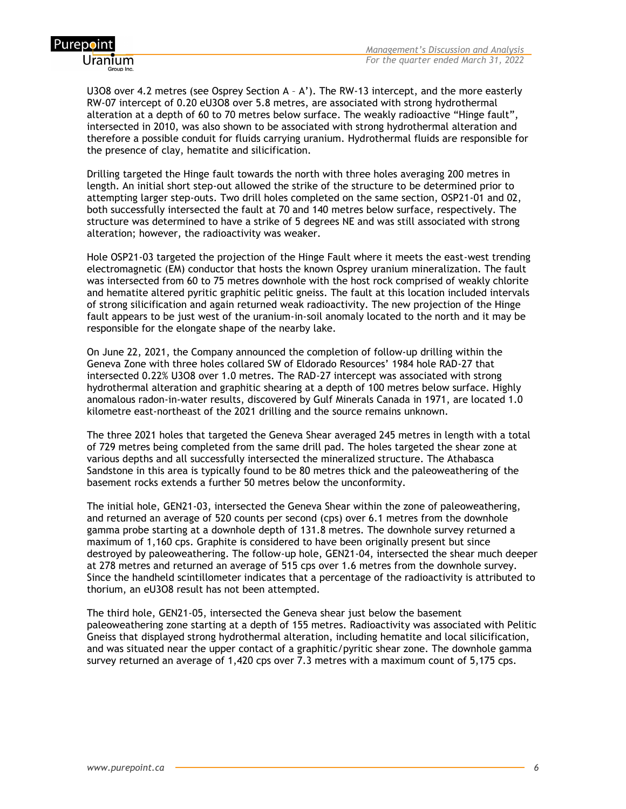

U3O8 over 4.2 metres (see Osprey Section A – A'). The RW-13 intercept, and the more easterly RW-07 intercept of 0.20 eU3O8 over 5.8 metres, are associated with strong hydrothermal alteration at a depth of 60 to 70 metres below surface. The weakly radioactive "Hinge fault", intersected in 2010, was also shown to be associated with strong hydrothermal alteration and therefore a possible conduit for fluids carrying uranium. Hydrothermal fluids are responsible for the presence of clay, hematite and silicification.

Drilling targeted the Hinge fault towards the north with three holes averaging 200 metres in length. An initial short step-out allowed the strike of the structure to be determined prior to attempting larger step-outs. Two drill holes completed on the same section, OSP21-01 and 02, both successfully intersected the fault at 70 and 140 metres below surface, respectively. The structure was determined to have a strike of 5 degrees NE and was still associated with strong alteration; however, the radioactivity was weaker.

Hole OSP21-03 targeted the projection of the Hinge Fault where it meets the east-west trending electromagnetic (EM) conductor that hosts the known Osprey uranium mineralization. The fault was intersected from 60 to 75 metres downhole with the host rock comprised of weakly chlorite and hematite altered pyritic graphitic pelitic gneiss. The fault at this location included intervals of strong silicification and again returned weak radioactivity. The new projection of the Hinge fault appears to be just west of the uranium-in-soil anomaly located to the north and it may be responsible for the elongate shape of the nearby lake.

On June 22, 2021, the Company announced the completion of follow-up drilling within the Geneva Zone with three holes collared SW of Eldorado Resources' 1984 hole RAD-27 that intersected 0.22% U3O8 over 1.0 metres. The RAD-27 intercept was associated with strong hydrothermal alteration and graphitic shearing at a depth of 100 metres below surface. Highly anomalous radon-in-water results, discovered by Gulf Minerals Canada in 1971, are located 1.0 kilometre east-northeast of the 2021 drilling and the source remains unknown.

The three 2021 holes that targeted the Geneva Shear averaged 245 metres in length with a total of 729 metres being completed from the same drill pad. The holes targeted the shear zone at various depths and all successfully intersected the mineralized structure. The Athabasca Sandstone in this area is typically found to be 80 metres thick and the paleoweathering of the basement rocks extends a further 50 metres below the unconformity.

The initial hole, GEN21-03, intersected the Geneva Shear within the zone of paleoweathering, and returned an average of 520 counts per second (cps) over 6.1 metres from the downhole gamma probe starting at a downhole depth of 131.8 metres. The downhole survey returned a maximum of 1,160 cps. Graphite is considered to have been originally present but since destroyed by paleoweathering. The follow-up hole, GEN21-04, intersected the shear much deeper at 278 metres and returned an average of 515 cps over 1.6 metres from the downhole survey. Since the handheld scintillometer indicates that a percentage of the radioactivity is attributed to thorium, an eU3O8 result has not been attempted.

The third hole, GEN21-05, intersected the Geneva shear just below the basement paleoweathering zone starting at a depth of 155 metres. Radioactivity was associated with Pelitic Gneiss that displayed strong hydrothermal alteration, including hematite and local silicification, and was situated near the upper contact of a graphitic/pyritic shear zone. The downhole gamma survey returned an average of 1,420 cps over 7.3 metres with a maximum count of 5,175 cps.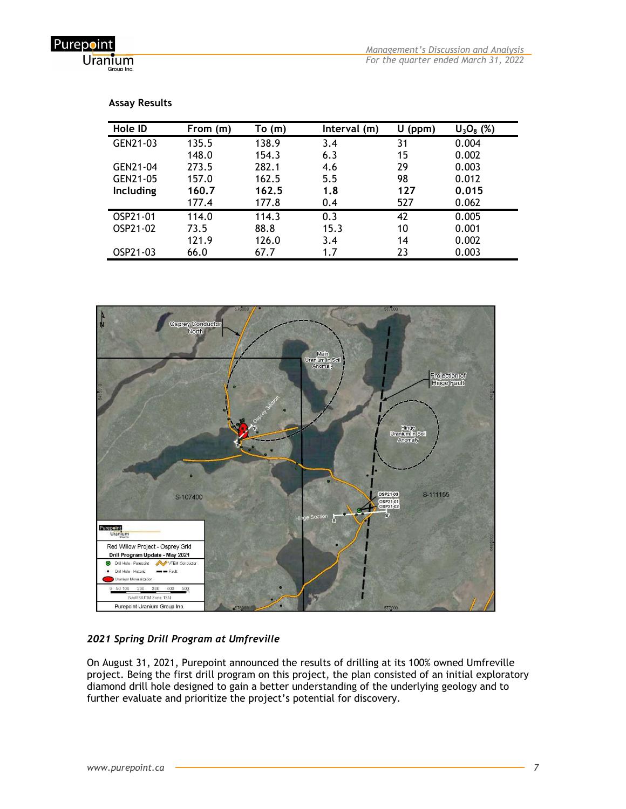Purepoint Uranium

| Hole ID   | From (m) | To(m) | Interval (m) | U<br>(ppm) | $U_3O_8$ (%) |
|-----------|----------|-------|--------------|------------|--------------|
| GEN21-03  | 135.5    | 138.9 | 3.4          | 31         | 0.004        |
|           | 148.0    | 154.3 | 6.3          | 15         | 0.002        |
| GEN21-04  | 273.5    | 282.1 | 4.6          | 29         | 0.003        |
| GEN21-05  | 157.0    | 162.5 | 5.5          | 98         | 0.012        |
| Including | 160.7    | 162.5 | 1.8          | 127        | 0.015        |
|           | 177.4    | 177.8 | 0.4          | 527        | 0.062        |
| OSP21-01  | 114.0    | 114.3 | 0.3          | 42         | 0.005        |
| OSP21-02  | 73.5     | 88.8  | 15.3         | 10         | 0.001        |
|           | 121.9    | 126.0 | 3.4          | 14         | 0.002        |
| OSP21-03  | 66.0     | 67.7  | 1.7          | 23         | 0.003        |

#### **Assay Results**



#### *2021 Spring Drill Program at Umfreville*

On August 31, 2021, Purepoint announced the results of drilling at its 100% owned Umfreville project. Being the first drill program on this project, the plan consisted of an initial exploratory diamond drill hole designed to gain a better understanding of the underlying geology and to further evaluate and prioritize the project's potential for discovery.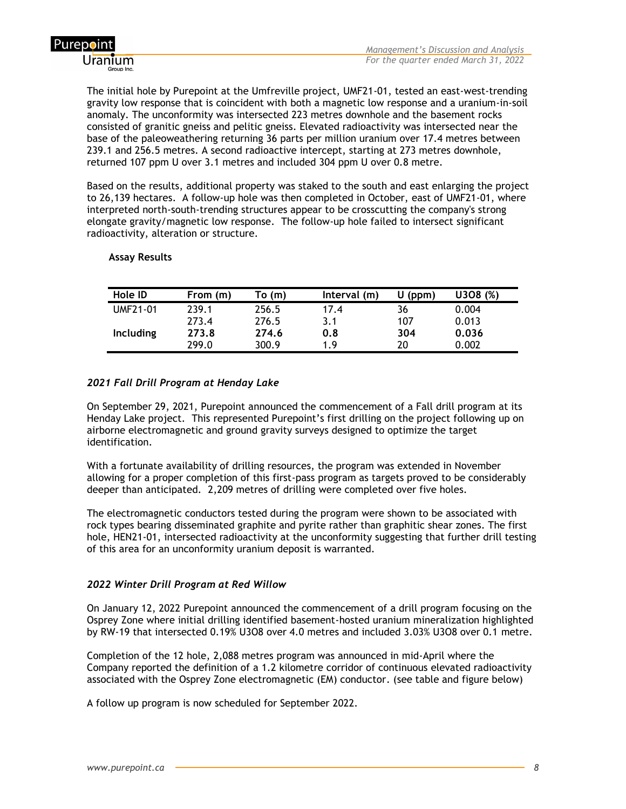

The initial hole by Purepoint at the Umfreville project, UMF21-01, tested an east-west-trending gravity low response that is coincident with both a magnetic low response and a uranium-in-soil anomaly. The unconformity was intersected 223 metres downhole and the basement rocks consisted of granitic gneiss and pelitic gneiss. Elevated radioactivity was intersected near the base of the paleoweathering returning 36 parts per million uranium over 17.4 metres between 239.1 and 256.5 metres. A second radioactive intercept, starting at 273 metres downhole, returned 107 ppm U over 3.1 metres and included 304 ppm U over 0.8 metre.

Based on the results, additional property was staked to the south and east enlarging the project to 26,139 hectares. A follow-up hole was then completed in October, east of UMF21-01, where interpreted north-south-trending structures appear to be crosscutting the company's strong elongate gravity/magnetic low response. The follow-up hole failed to intersect significant radioactivity, alteration or structure.

#### **Assay Results**

| Hole ID          | From (m) | To (m) | Interval (m) | (ppm) | U308 (%) |
|------------------|----------|--------|--------------|-------|----------|
| UMF21-01         | 239.1    | 256.5  | 17.4         | 36    | 0.004    |
|                  | 273.4    | 276.5  | 3.1          | 107   | 0.013    |
| <b>Including</b> | 273.8    | 274.6  | 0.8          | 304   | 0.036    |
|                  | 299.0    | 300.9  | 19           | 20    | 0.002    |

## *2021 Fall Drill Program at Henday Lake*

On September 29, 2021, Purepoint announced the commencement of a Fall drill program at its Henday Lake project. This represented Purepoint's first drilling on the project following up on airborne electromagnetic and ground gravity surveys designed to optimize the target identification.

With a fortunate availability of drilling resources, the program was extended in November allowing for a proper completion of this first-pass program as targets proved to be considerably deeper than anticipated. 2,209 metres of drilling were completed over five holes.

The electromagnetic conductors tested during the program were shown to be associated with rock types bearing disseminated graphite and pyrite rather than graphitic shear zones. The first hole, HEN21-01, intersected radioactivity at the unconformity suggesting that further drill testing of this area for an unconformity uranium deposit is warranted.

#### *2022 Winter Drill Program at Red Willow*

On January 12, 2022 Purepoint announced the commencement of a drill program focusing on the Osprey Zone where initial drilling identified basement-hosted uranium mineralization highlighted by RW-19 that intersected 0.19% U3O8 over 4.0 metres and included 3.03% U3O8 over 0.1 metre.

Completion of the 12 hole, 2,088 metres program was announced in mid-April where the Company reported the definition of a 1.2 kilometre corridor of continuous elevated radioactivity associated with the Osprey Zone electromagnetic (EM) conductor. (see table and figure below)

A follow up program is now scheduled for September 2022.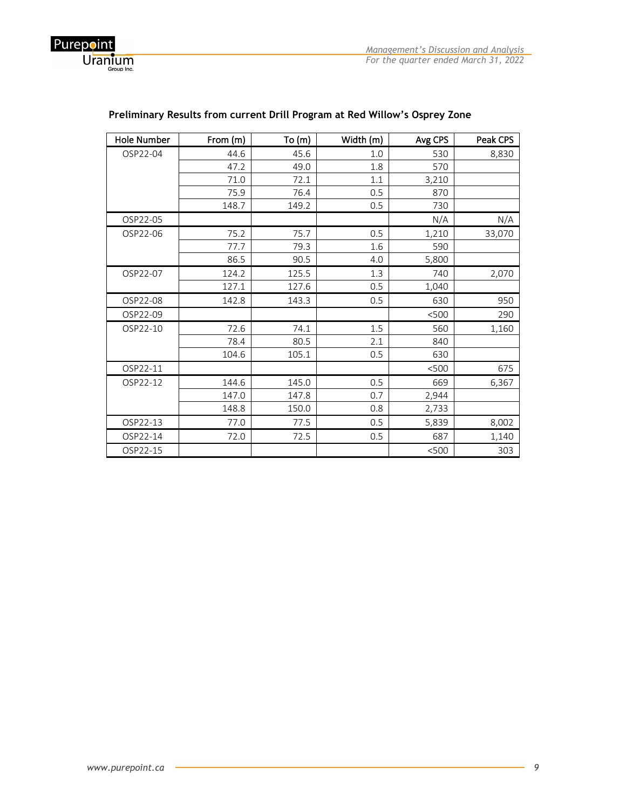

| Hole Number | From (m) | To(m) | Width (m) | Avg CPS | Peak CPS |
|-------------|----------|-------|-----------|---------|----------|
| OSP22-04    | 44.6     | 45.6  | 1.0       | 530     | 8,830    |
|             | 47.2     | 49.0  | 1.8       | 570     |          |
|             | 71.0     | 72.1  | 1.1       | 3,210   |          |
|             | 75.9     | 76.4  | 0.5       | 870     |          |
|             | 148.7    | 149.2 | 0.5       | 730     |          |
| OSP22-05    |          |       |           | N/A     | N/A      |
| OSP22-06    | 75.2     | 75.7  | 0.5       | 1,210   | 33,070   |
|             | 77.7     | 79.3  | 1.6       | 590     |          |
|             | 86.5     | 90.5  | 4.0       | 5,800   |          |
| OSP22-07    | 124.2    | 125.5 | 1.3       | 740     | 2,070    |
|             | 127.1    | 127.6 | 0.5       | 1,040   |          |
| OSP22-08    | 142.8    | 143.3 | 0.5       | 630     | 950      |
| OSP22-09    |          |       |           | < 500   | 290      |
| OSP22-10    | 72.6     | 74.1  | 1.5       | 560     | 1,160    |
|             | 78.4     | 80.5  | 2.1       | 840     |          |
|             | 104.6    | 105.1 | 0.5       | 630     |          |
| OSP22-11    |          |       |           | < 500   | 675      |
| OSP22-12    | 144.6    | 145.0 | 0.5       | 669     | 6,367    |
|             | 147.0    | 147.8 | 0.7       | 2,944   |          |
|             | 148.8    | 150.0 | 0.8       | 2,733   |          |
| OSP22-13    | 77.0     | 77.5  | 0.5       | 5,839   | 8,002    |
| OSP22-14    | 72.0     | 72.5  | 0.5       | 687     | 1,140    |
| OSP22-15    |          |       |           | < 500   | 303      |

# **Preliminary Results from current Drill Program at Red Willow's Osprey Zone**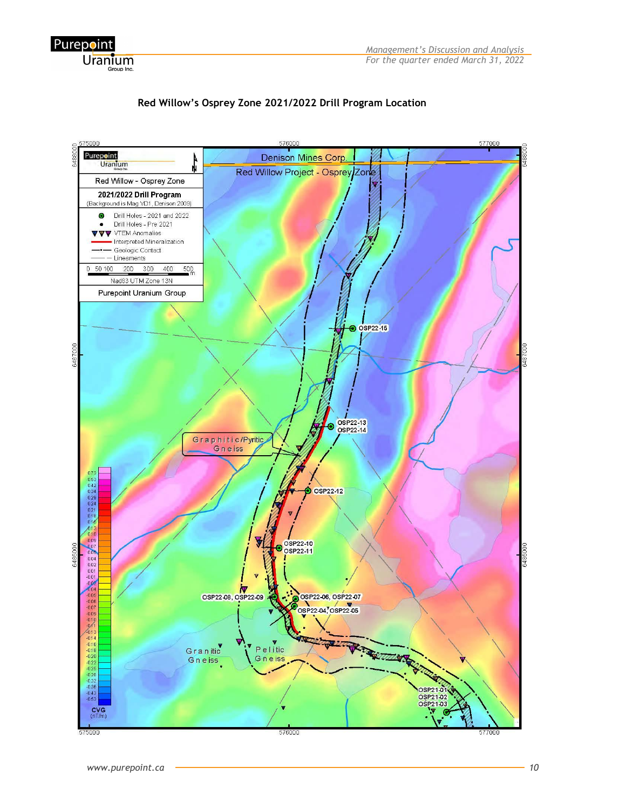





Purepoint

Uranium Group Inc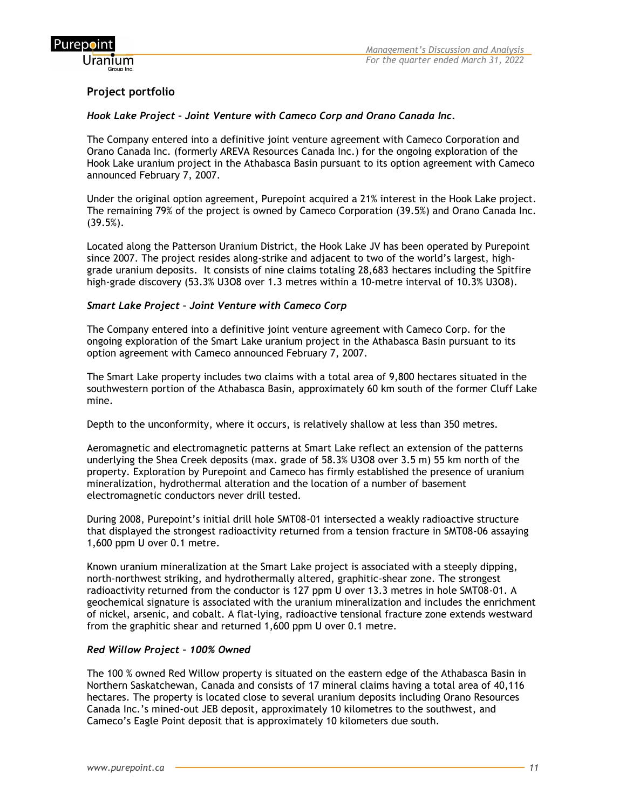

# **Project portfolio**

#### *Hook Lake Project – Joint Venture with Cameco Corp and Orano Canada Inc.*

The Company entered into a definitive joint venture agreement with Cameco Corporation and Orano Canada Inc. (formerly AREVA Resources Canada Inc.) for the ongoing exploration of the Hook Lake uranium project in the Athabasca Basin pursuant to its option agreement with Cameco announced February 7, 2007.

Under the original option agreement, Purepoint acquired a 21% interest in the Hook Lake project. The remaining 79% of the project is owned by Cameco Corporation (39.5%) and Orano Canada Inc. (39.5%).

Located along the Patterson Uranium District, the Hook Lake JV has been operated by Purepoint since 2007. The project resides along-strike and adjacent to two of the world's largest, highgrade uranium deposits. It consists of nine claims totaling 28,683 hectares including the Spitfire high-grade discovery (53.3% U3O8 over 1.3 metres within a 10-metre interval of 10.3% U3O8).

## *Smart Lake Project – Joint Venture with Cameco Corp*

The Company entered into a definitive joint venture agreement with Cameco Corp. for the ongoing exploration of the Smart Lake uranium project in the Athabasca Basin pursuant to its option agreement with Cameco announced February 7, 2007.

The Smart Lake property includes two claims with a total area of 9,800 hectares situated in the southwestern portion of the Athabasca Basin, approximately 60 km south of the former Cluff Lake mine.

Depth to the unconformity, where it occurs, is relatively shallow at less than 350 metres.

Aeromagnetic and electromagnetic patterns at Smart Lake reflect an extension of the patterns underlying the Shea Creek deposits (max. grade of 58.3% U3O8 over 3.5 m) 55 km north of the property. Exploration by Purepoint and Cameco has firmly established the presence of uranium mineralization, hydrothermal alteration and the location of a number of basement electromagnetic conductors never drill tested.

During 2008, Purepoint's initial drill hole SMT08-01 intersected a weakly radioactive structure that displayed the strongest radioactivity returned from a tension fracture in SMT08-06 assaying 1,600 ppm U over 0.1 metre.

Known uranium mineralization at the Smart Lake project is associated with a steeply dipping, north-northwest striking, and hydrothermally altered, graphitic-shear zone. The strongest radioactivity returned from the conductor is 127 ppm U over 13.3 metres in hole SMT08-01. A geochemical signature is associated with the uranium mineralization and includes the enrichment of nickel, arsenic, and cobalt. A flat-lying, radioactive tensional fracture zone extends westward from the graphitic shear and returned 1,600 ppm U over 0.1 metre.

#### *Red Willow Project – 100% Owned*

The 100 % owned Red Willow property is situated on the eastern edge of the Athabasca Basin in Northern Saskatchewan, Canada and consists of 17 mineral claims having a total area of 40,116 hectares. The property is located close to several uranium deposits including Orano Resources Canada Inc.'s mined-out JEB deposit, approximately 10 kilometres to the southwest, and Cameco's Eagle Point deposit that is approximately 10 kilometers due south.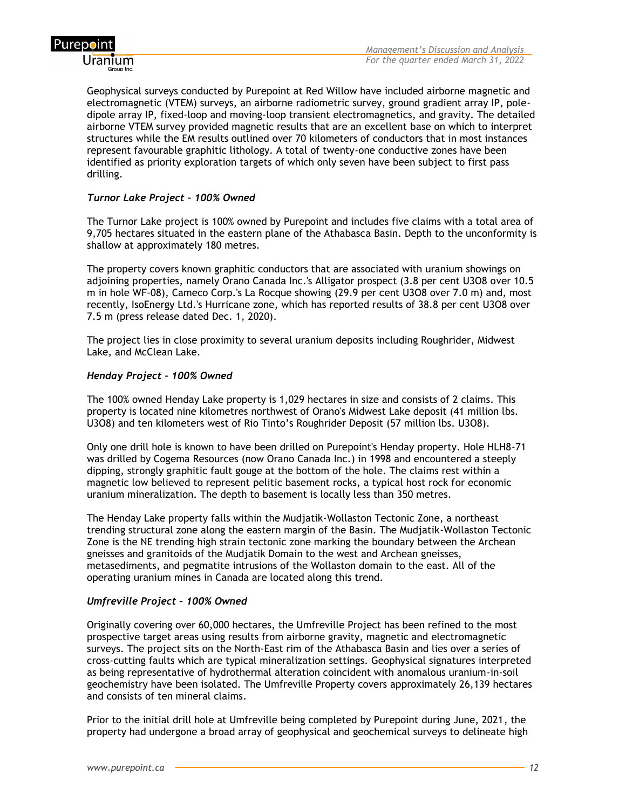

Geophysical surveys conducted by Purepoint at Red Willow have included airborne magnetic and electromagnetic (VTEM) surveys, an airborne radiometric survey, ground gradient array IP, poledipole array IP, fixed-loop and moving-loop transient electromagnetics, and gravity. The detailed airborne VTEM survey provided magnetic results that are an excellent base on which to interpret structures while the EM results outlined over 70 kilometers of conductors that in most instances represent favourable graphitic lithology. A total of twenty-one conductive zones have been identified as priority exploration targets of which only seven have been subject to first pass drilling.

#### *Turnor Lake Project – 100% Owned*

The Turnor Lake project is 100% owned by Purepoint and includes five claims with a total area of 9,705 hectares situated in the eastern plane of the Athabasca Basin. Depth to the unconformity is shallow at approximately 180 metres.

The property covers known graphitic conductors that are associated with uranium showings on adjoining properties, namely Orano Canada Inc.'s Alligator prospect (3.8 per cent U3O8 over 10.5 m in hole WF-08), Cameco Corp.'s La Rocque showing (29.9 per cent U3O8 over 7.0 m) and, most recently, IsoEnergy Ltd.'s Hurricane zone, which has reported results of 38.8 per cent U3O8 over 7.5 m (press release dated Dec. 1, 2020).

The project lies in close proximity to several uranium deposits including Roughrider, Midwest Lake, and McClean Lake.

#### *Henday Project – 100% Owned*

The 100% owned Henday Lake property is 1,029 hectares in size and consists of 2 claims. This property is located nine kilometres northwest of Orano's Midwest Lake deposit (41 million lbs. U3O8) and ten kilometers west of Rio Tinto's Roughrider Deposit (57 million lbs. U3O8).

Only one drill hole is known to have been drilled on Purepoint's Henday property. Hole HLH8-71 was drilled by Cogema Resources (now Orano Canada Inc.) in 1998 and encountered a steeply dipping, strongly graphitic fault gouge at the bottom of the hole. The claims rest within a magnetic low believed to represent pelitic basement rocks, a typical host rock for economic uranium mineralization. The depth to basement is locally less than 350 metres.

The Henday Lake property falls within the Mudjatik-Wollaston Tectonic Zone, a northeast trending structural zone along the eastern margin of the Basin. The Mudjatik-Wollaston Tectonic Zone is the NE trending high strain tectonic zone marking the boundary between the Archean gneisses and granitoids of the Mudjatik Domain to the west and Archean gneisses, metasediments, and pegmatite intrusions of the Wollaston domain to the east. All of the operating uranium mines in Canada are located along this trend.

## *Umfreville Project – 100% Owned*

Originally covering over 60,000 hectares, the Umfreville Project has been refined to the most prospective target areas using results from airborne gravity, magnetic and electromagnetic surveys. The project sits on the North-East rim of the Athabasca Basin and lies over a series of cross-cutting faults which are typical mineralization settings. Geophysical signatures interpreted as being representative of hydrothermal alteration coincident with anomalous uranium-in-soil geochemistry have been isolated. The Umfreville Property covers approximately 26,139 hectares and consists of ten mineral claims.

Prior to the initial drill hole at Umfreville being completed by Purepoint during June, 2021, the property had undergone a broad array of geophysical and geochemical surveys to delineate high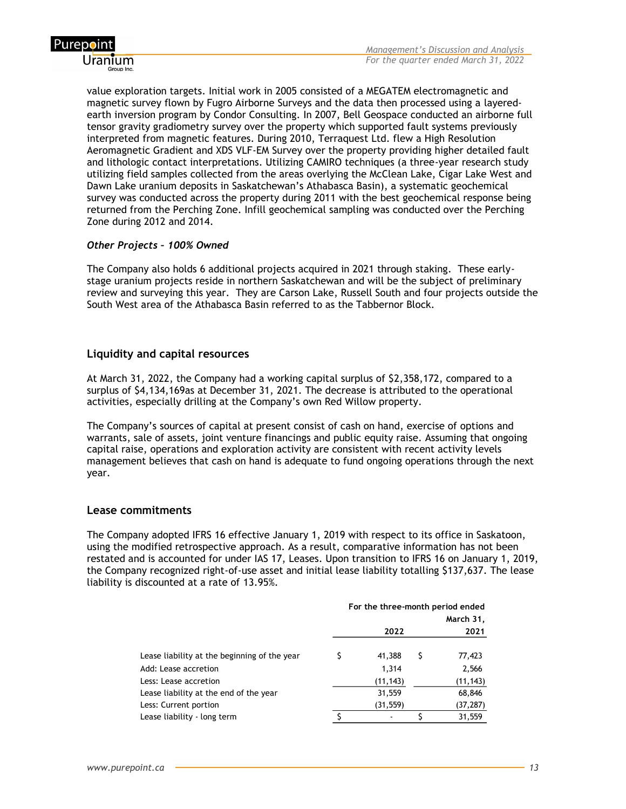

value exploration targets. Initial work in 2005 consisted of a MEGATEM electromagnetic and magnetic survey flown by Fugro Airborne Surveys and the data then processed using a layeredearth inversion program by Condor Consulting. In 2007, Bell Geospace conducted an airborne full tensor gravity gradiometry survey over the property which supported fault systems previously interpreted from magnetic features. During 2010, Terraquest Ltd. flew a High Resolution Aeromagnetic Gradient and XDS VLF-EM Survey over the property providing higher detailed fault and lithologic contact interpretations. Utilizing CAMIRO techniques (a three-year research study utilizing field samples collected from the areas overlying the McClean Lake, Cigar Lake West and Dawn Lake uranium deposits in Saskatchewan's Athabasca Basin), a systematic geochemical survey was conducted across the property during 2011 with the best geochemical response being returned from the Perching Zone. Infill geochemical sampling was conducted over the Perching Zone during 2012 and 2014.

#### *Other Projects – 100% Owned*

The Company also holds 6 additional projects acquired in 2021 through staking. These earlystage uranium projects reside in northern Saskatchewan and will be the subject of preliminary review and surveying this year. They are Carson Lake, Russell South and four projects outside the South West area of the Athabasca Basin referred to as the Tabbernor Block.

## **Liquidity and capital resources**

At March 31, 2022, the Company had a working capital surplus of \$2,358,172, compared to a surplus of \$4,134,169as at December 31, 2021. The decrease is attributed to the operational activities, especially drilling at the Company's own Red Willow property.

The Company's sources of capital at present consist of cash on hand, exercise of options and warrants, sale of assets, joint venture financings and public equity raise. Assuming that ongoing capital raise, operations and exploration activity are consistent with recent activity levels management believes that cash on hand is adequate to fund ongoing operations through the next year.

#### **Lease commitments**

The Company adopted IFRS 16 effective January 1, 2019 with respect to its office in Saskatoon, using the modified retrospective approach. As a result, comparative information has not been restated and is accounted for under IAS 17, Leases. Upon transition to IFRS 16 on January 1, 2019, the Company recognized right-of-use asset and initial lease liability totalling \$137,637. The lease liability is discounted at a rate of 13.95%.

|                                              | For the three-month period ended |           |   |           |  |
|----------------------------------------------|----------------------------------|-----------|---|-----------|--|
|                                              | March 31,                        |           |   |           |  |
|                                              | 2022                             |           |   | 2021      |  |
|                                              |                                  |           |   |           |  |
| Lease liability at the beginning of the year |                                  | 41,388    | S | 77,423    |  |
| Add: Lease accretion                         |                                  | 1,314     |   | 2,566     |  |
| Less: Lease accretion                        |                                  | (11, 143) |   | (11, 143) |  |
| Lease liability at the end of the year       |                                  | 31,559    |   | 68,846    |  |
| Less: Current portion                        |                                  | (31, 559) |   | (37, 287) |  |
| Lease liability - long term                  |                                  |           |   | 31,559    |  |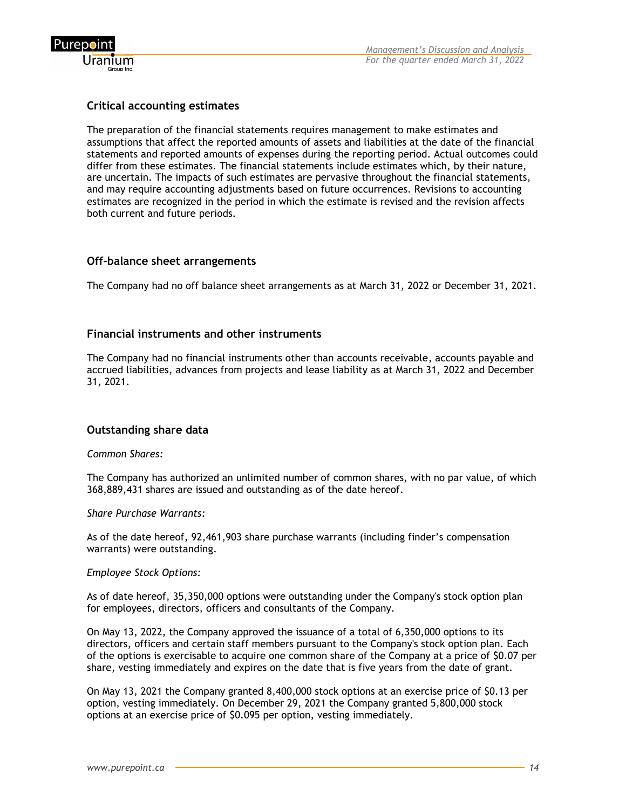

## **Critical accounting estimates**

The preparation of the financial statements requires management to make estimates and assumptions that affect the reported amounts of assets and liabilities at the date of the financial statements and reported amounts of expenses during the reporting period. Actual outcomes could differ from these estimates. The financial statements include estimates which, by their nature, are uncertain. The impacts of such estimates are pervasive throughout the financial statements, and may require accounting adjustments based on future occurrences. Revisions to accounting estimates are recognized in the period in which the estimate is revised and the revision affects both current and future periods.

## **Off-balance sheet arrangements**

The Company had no off balance sheet arrangements as at March 31, 2022 or December 31, 2021.

## **Financial instruments and other instruments**

The Company had no financial instruments other than accounts receivable, accounts payable and accrued liabilities, advances from projects and lease liability as at March 31, 2022 and December 31, 2021.

## **Outstanding share data**

#### *Common Shares:*

The Company has authorized an unlimited number of common shares, with no par value, of which 368,889,431 shares are issued and outstanding as of the date hereof.

#### *Share Purchase Warrants:*

As of the date hereof, 92,461,903 share purchase warrants (including finder's compensation warrants) were outstanding.

#### *Employee Stock Options:*

As of date hereof, 35,350,000 options were outstanding under the Company's stock option plan for employees, directors, officers and consultants of the Company.

On May 13, 2022, the Company approved the issuance of a total of 6,350,000 options to its directors, officers and certain staff members pursuant to the Company's stock option plan. Each of the options is exercisable to acquire one common share of the Company at a price of \$0.07 per share, vesting immediately and expires on the date that is five years from the date of grant.

On May 13, 2021 the Company granted 8,400,000 stock options at an exercise price of \$0.13 per option, vesting immediately. On December 29, 2021 the Company granted 5,800,000 stock options at an exercise price of \$0.095 per option, vesting immediately.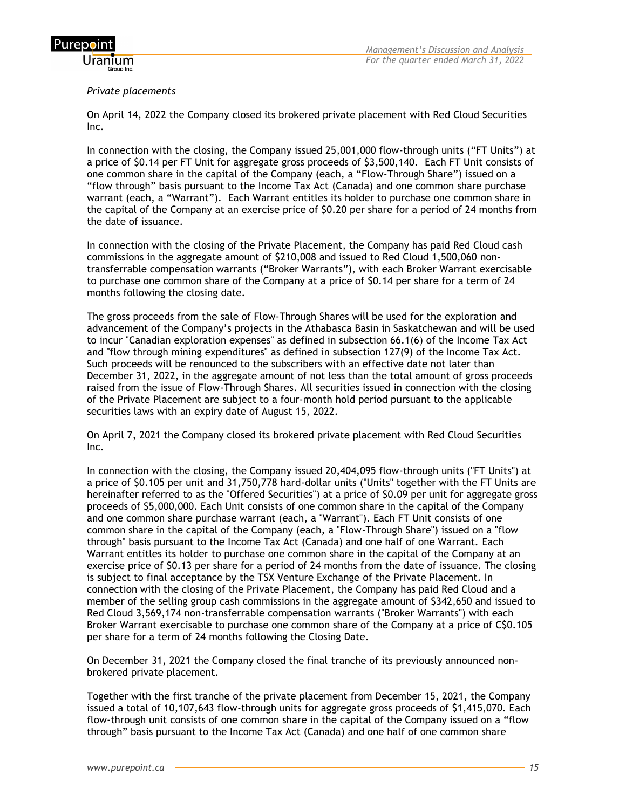

#### *Private placements*

On April 14, 2022 the Company closed its brokered private placement with Red Cloud Securities Inc.

In connection with the closing, the Company issued 25,001,000 flow-through units ("FT Units") at a price of \$0.14 per FT Unit for aggregate gross proceeds of \$3,500,140. Each FT Unit consists of one common share in the capital of the Company (each, a "Flow-Through Share") issued on a "flow through" basis pursuant to the Income Tax Act (Canada) and one common share purchase warrant (each, a "Warrant"). Each Warrant entitles its holder to purchase one common share in the capital of the Company at an exercise price of \$0.20 per share for a period of 24 months from the date of issuance.

In connection with the closing of the Private Placement, the Company has paid Red Cloud cash commissions in the aggregate amount of \$210,008 and issued to Red Cloud 1,500,060 nontransferrable compensation warrants ("Broker Warrants"), with each Broker Warrant exercisable to purchase one common share of the Company at a price of \$0.14 per share for a term of 24 months following the closing date.

The gross proceeds from the sale of Flow-Through Shares will be used for the exploration and advancement of the Company's projects in the Athabasca Basin in Saskatchewan and will be used to incur "Canadian exploration expenses" as defined in subsection 66.1(6) of the Income Tax Act and "flow through mining expenditures" as defined in subsection 127(9) of the Income Tax Act. Such proceeds will be renounced to the subscribers with an effective date not later than December 31, 2022, in the aggregate amount of not less than the total amount of gross proceeds raised from the issue of Flow-Through Shares. All securities issued in connection with the closing of the Private Placement are subject to a four-month hold period pursuant to the applicable securities laws with an expiry date of August 15, 2022.

On April 7, 2021 the Company closed its brokered private placement with Red Cloud Securities Inc.

In connection with the closing, the Company issued 20,404,095 flow-through units ("FT Units") at a price of \$0.105 per unit and 31,750,778 hard-dollar units ("Units" together with the FT Units are hereinafter referred to as the "Offered Securities") at a price of \$0.09 per unit for aggregate gross proceeds of \$5,000,000. Each Unit consists of one common share in the capital of the Company and one common share purchase warrant (each, a "Warrant"). Each FT Unit consists of one common share in the capital of the Company (each, a "Flow-Through Share") issued on a "flow through" basis pursuant to the Income Tax Act (Canada) and one half of one Warrant. Each Warrant entitles its holder to purchase one common share in the capital of the Company at an exercise price of \$0.13 per share for a period of 24 months from the date of issuance. The closing is subject to final acceptance by the TSX Venture Exchange of the Private Placement. In connection with the closing of the Private Placement, the Company has paid Red Cloud and a member of the selling group cash commissions in the aggregate amount of \$342,650 and issued to Red Cloud 3,569,174 non-transferrable compensation warrants ("Broker Warrants") with each Broker Warrant exercisable to purchase one common share of the Company at a price of C\$0.105 per share for a term of 24 months following the Closing Date.

On December 31, 2021 the Company closed the final tranche of its previously announced nonbrokered private placement.

Together with the first tranche of the private placement from December 15, 2021, the Company issued a total of 10,107,643 flow-through units for aggregate gross proceeds of \$1,415,070. Each flow-through unit consists of one common share in the capital of the Company issued on a "flow through" basis pursuant to the Income Tax Act (Canada) and one half of one common share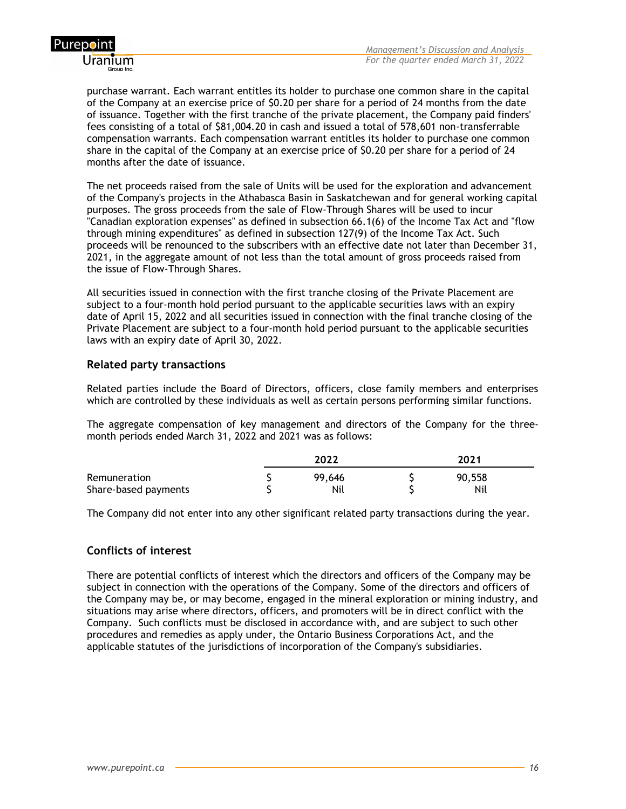

purchase warrant. Each warrant entitles its holder to purchase one common share in the capital of the Company at an exercise price of \$0.20 per share for a period of 24 months from the date of issuance. Together with the first tranche of the private placement, the Company paid finders' fees consisting of a total of \$81,004.20 in cash and issued a total of 578,601 non-transferrable compensation warrants. Each compensation warrant entitles its holder to purchase one common share in the capital of the Company at an exercise price of \$0.20 per share for a period of 24 months after the date of issuance.

The net proceeds raised from the sale of Units will be used for the exploration and advancement of the Company's projects in the Athabasca Basin in Saskatchewan and for general working capital purposes. The gross proceeds from the sale of Flow-Through Shares will be used to incur "Canadian exploration expenses" as defined in subsection 66.1(6) of the Income Tax Act and "flow through mining expenditures" as defined in subsection 127(9) of the Income Tax Act. Such proceeds will be renounced to the subscribers with an effective date not later than December 31, 2021, in the aggregate amount of not less than the total amount of gross proceeds raised from the issue of Flow-Through Shares.

All securities issued in connection with the first tranche closing of the Private Placement are subject to a four-month hold period pursuant to the applicable securities laws with an expiry date of April 15, 2022 and all securities issued in connection with the final tranche closing of the Private Placement are subject to a four-month hold period pursuant to the applicable securities laws with an expiry date of April 30, 2022.

## **Related party transactions**

Related parties include the Board of Directors, officers, close family members and enterprises which are controlled by these individuals as well as certain persons performing similar functions.

The aggregate compensation of key management and directors of the Company for the threemonth periods ended March 31, 2022 and 2021 was as follows:

|                                      | 2022 |               | 2021 |               |  |
|--------------------------------------|------|---------------|------|---------------|--|
| Remuneration<br>Share-based payments |      | 99.646<br>Nil |      | 90,558<br>Nil |  |

The Company did not enter into any other significant related party transactions during the year.

## **Conflicts of interest**

There are potential conflicts of interest which the directors and officers of the Company may be subject in connection with the operations of the Company. Some of the directors and officers of the Company may be, or may become, engaged in the mineral exploration or mining industry, and situations may arise where directors, officers, and promoters will be in direct conflict with the Company. Such conflicts must be disclosed in accordance with, and are subject to such other procedures and remedies as apply under, the Ontario Business Corporations Act, and the applicable statutes of the jurisdictions of incorporation of the Company's subsidiaries.